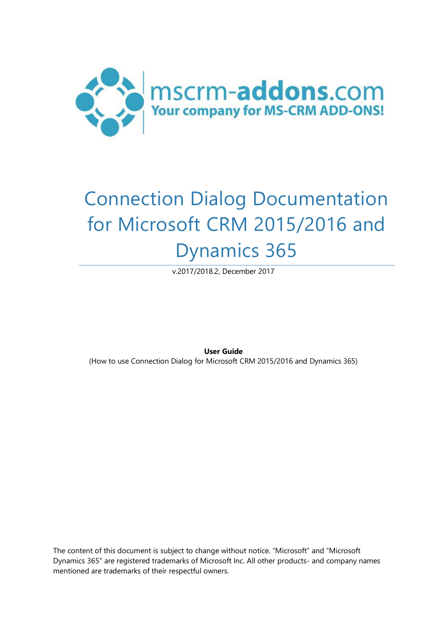

# Connection Dialog Documentation for Microsoft CRM 2015/2016 and Dynamics 365

v.2017/2018.2, December 2017

**User Guide**

(How to use Connection Dialog for Microsoft CRM 2015/2016 and Dynamics 365)

The content of this document is subject to change without notice. "Microsoft" and "Microsoft Dynamics 365" are registered trademarks of Microsoft Inc. All other products- and company names mentioned are trademarks of their respectful owners.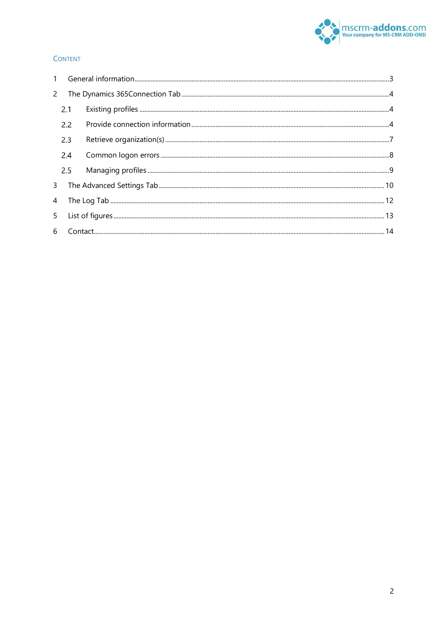

#### **CONTENT**

| $\mathbf{2}$ |             |  |  |  |  |
|--------------|-------------|--|--|--|--|
|              | 2.1         |  |  |  |  |
|              | 2.2         |  |  |  |  |
|              | 2.3         |  |  |  |  |
|              | 2.4         |  |  |  |  |
|              | 2.5         |  |  |  |  |
|              | $3^{\circ}$ |  |  |  |  |
| 4            |             |  |  |  |  |
|              |             |  |  |  |  |
|              |             |  |  |  |  |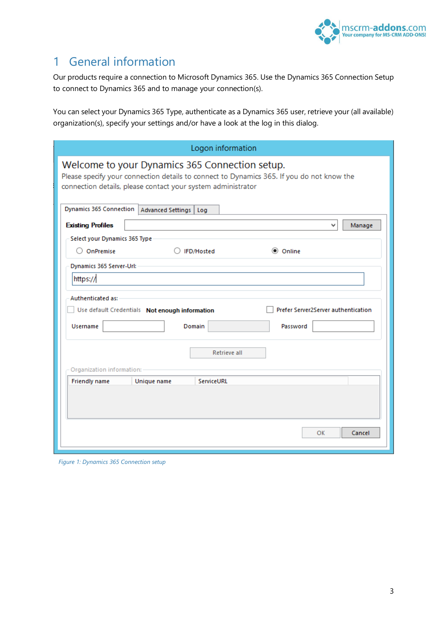

# <span id="page-2-0"></span>1 General information

Our products require a connection to Microsoft Dynamics 365. Use the Dynamics 365 Connection Setup to connect to Dynamics 365 and to manage your connection(s).

You can select your Dynamics 365 Type, authenticate as a Dynamics 365 user, retrieve your (all available) organization(s), specify your settings and/or have a look at the log in this dialog.

|                                                                                                                                                                                                             | Logon information                                                                                           |        |  |  |  |  |
|-------------------------------------------------------------------------------------------------------------------------------------------------------------------------------------------------------------|-------------------------------------------------------------------------------------------------------------|--------|--|--|--|--|
| Welcome to your Dynamics 365 Connection setup.<br>Please specify your connection details to connect to Dynamics 365. If you do not know the<br>connection details, please contact your system administrator |                                                                                                             |        |  |  |  |  |
| Dynamics 365 Connection   Advanced Settings                                                                                                                                                                 | Log                                                                                                         |        |  |  |  |  |
| <b>Existing Profiles</b>                                                                                                                                                                                    | v                                                                                                           | Manage |  |  |  |  |
| Select your Dynamics 365 Type                                                                                                                                                                               |                                                                                                             |        |  |  |  |  |
| $\bigcirc$ OnPremise                                                                                                                                                                                        | C Online<br>○ IFD/Hosted                                                                                    |        |  |  |  |  |
| Dynamics 365 Server-Url:                                                                                                                                                                                    |                                                                                                             |        |  |  |  |  |
| https://                                                                                                                                                                                                    |                                                                                                             |        |  |  |  |  |
| <b>Authenticated as:</b><br><b>Username</b>                                                                                                                                                                 | Prefer Server2Server authentication<br>Use default Credentials Not enough information<br>Domain<br>Password |        |  |  |  |  |
| Organization information:                                                                                                                                                                                   | Retrieve all                                                                                                |        |  |  |  |  |
| <b>Friendly name</b>                                                                                                                                                                                        | ServiceURL<br>Unique name                                                                                   |        |  |  |  |  |
|                                                                                                                                                                                                             | OK                                                                                                          | Cancel |  |  |  |  |

*Figure 1: Dynamics 365 Connection setup*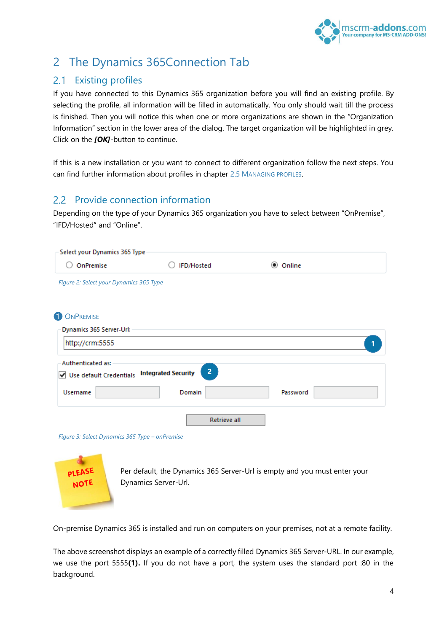

# <span id="page-3-0"></span>2 The Dynamics 365Connection Tab

# <span id="page-3-1"></span>2.1 Existing profiles

If you have connected to this Dynamics 365 organization before you will find an existing profile. By selecting the profile, all information will be filled in automatically. You only should wait till the process is finished. Then you will notice this when one or more organizations are shown in the "Organization Information" section in the lower area of the dialog. The target organization will be highlighted in grey. Click on the *[OK]*-button to continue.

If this is a new installation or you want to connect to different organization follow the next steps. You can find further information about profiles in chapter [2.5](#page-8-0) M[ANAGING PROFILES](#page-8-0).

## <span id="page-3-2"></span>2.2 Provide connection information

Depending on the type of your Dynamics 365 organization you have to select between "OnPremise", "IFD/Hosted" and "Online".

| Select your Dynamics 365 Type                                    |                |                   |
|------------------------------------------------------------------|----------------|-------------------|
| OnPremise                                                        | IFD/Hosted     | $\odot$<br>Online |
| Figure 2: Select your Dynamics 365 Type                          |                |                   |
| <b>1</b> ONPREMISE                                               |                |                   |
| Dynamics 365 Server-Url:                                         |                |                   |
| http://crm:5555                                                  |                | 1                 |
| Authenticated as:<br>Use default Credentials Integrated Security | $\overline{2}$ |                   |
| <b>Username</b>                                                  | Domain         | Password          |
|                                                                  | Retrieve all   |                   |
| Figure 3: Select Dynamics 365 Type - onPremise                   |                |                   |
| the contract of the contract of                                  |                |                   |



Per default, the Dynamics 365 Server-Url is empty and you must enter your Dynamics Server-Url.

On-premise Dynamics 365 is installed and run on computers on your premises, not at a remote facility.

The above screenshot displays an example of a correctly filled Dynamics 365 Server-URL. In our example, we use the port 5555**(1).** If you do not have a port, the system uses the standard port :80 in the background.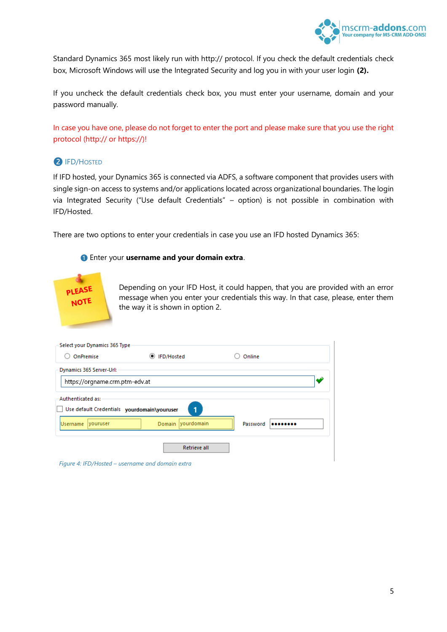

Standard Dynamics 365 most likely run with http:// protocol. If you check the default credentials check box, Microsoft Windows will use the Integrated Security and log you in with your user login **(2).**

If you uncheck the default credentials check box, you must enter your username, domain and your password manually.

In case you have one, please do not forget to enter the port and please make sure that you use the right protocol (http:// or https://)!

### ❷ IFD/HOSTED

If IFD hosted, your Dynamics 365 is connected via ADFS, a software component that provides users with single sign-on access to systems and/or applications located across organizational boundaries. The login via Integrated Security ("Use default Credentials" – option) is not possible in combination with IFD/Hosted.

There are two options to enter your credentials in case you use an IFD hosted Dynamics 365:

#### ❶ Enter your **username and your domain extra**.



Depending on your IFD Host, it could happen, that you are provided with an error message when you enter your credentials this way. In that case, please, enter them the way it is shown in option 2.

| Select your Dynamics 365 Type                                    |                     |              |  |  |  |  |
|------------------------------------------------------------------|---------------------|--------------|--|--|--|--|
| OnPremise                                                        | ◎ IFD/Hosted        | Online       |  |  |  |  |
| Dynamics 365 Server-Url:                                         |                     |              |  |  |  |  |
| https://orgname.crm.ptm-edv.at                                   |                     |              |  |  |  |  |
| Authenticated as:<br>Use default Credentials yourdomain\youruser | 1                   |              |  |  |  |  |
| <b>Username</b><br><i>vouruser</i>                               | Domain yourdomain   | Password<br> |  |  |  |  |
|                                                                  | <b>Retrieve all</b> |              |  |  |  |  |

*Figure 4: IFD/Hosted – username and domain extra*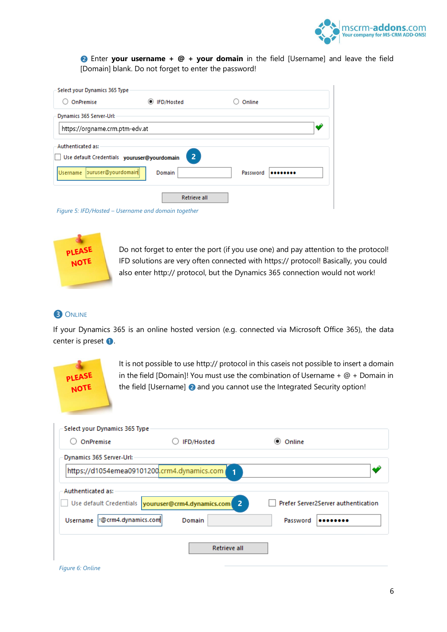

❷ Enter **your username + @ + your domain** in the field [Username] and leave the field [Domain] blank. Do not forget to enter the password!

| OnPremise                                                        | IFD/Hosted<br>$\odot$ | Online   |  |
|------------------------------------------------------------------|-----------------------|----------|--|
| Dynamics 365 Server-Url:                                         |                       |          |  |
| https://orgname.crm.ptm-edv.at                                   |                       |          |  |
| Authenticated as:<br>Use default Credentials youruser@yourdomain | 2 <sup>1</sup>        |          |  |
| puruser@yourdomain<br><b>Username</b>                            | Domain                | Password |  |
|                                                                  |                       |          |  |

*Figure 5: IFD/Hosted – Username and domain together*



Do not forget to enter the port (if you use one) and pay attention to the protocol! IFD solutions are very often connected with https:// protocol! Basically, you could also enter http:// protocol, but the Dynamics 365 connection would not work!

### **3** ONLINE

If your Dynamics 365 is an online hosted version (e.g. connected via Microsoft Office 365), the data center is preset **1**.



It is not possible to use http:// protocol in this caseis not possible to insert a domain in the field [Domain]! You must use the combination of Username  $+$   $@ +$  Domain in the field [Username] and you cannot use the Integrated Security option!

| Select your Dynamics 365 Type          |                                                                      |                                     |
|----------------------------------------|----------------------------------------------------------------------|-------------------------------------|
| OnPremise                              | IFD/Hosted                                                           | $\circ$<br>Online                   |
| Dynamics 365 Server-Url:               |                                                                      |                                     |
|                                        | https://d1054emea09101200.crm4.dynamics.com<br>$\overline{1}$        |                                     |
| Authenticated as:                      | Use default Credentials vouruser@crm4.dynamics.com<br>$\overline{2}$ | Prefer Server2Server authentication |
| r@crm4.dynamics.com<br><b>Username</b> | Domain                                                               | Password                            |
|                                        | <b>Retrieve all</b>                                                  |                                     |

*Figure 6: Online*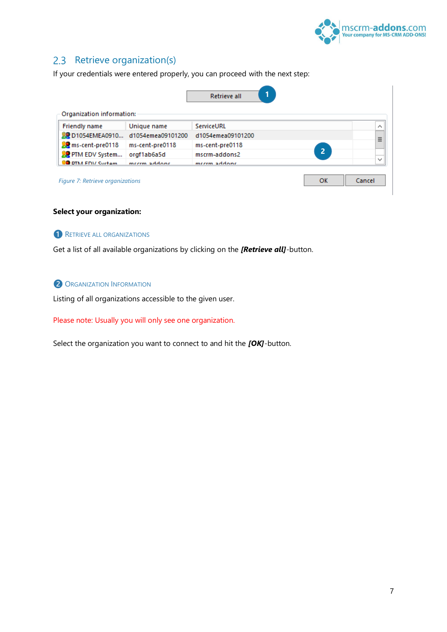

## <span id="page-6-0"></span>2.3 Retrieve organization(s)

If your credentials were entered properly, you can proceed with the next step:

| Organization information:                        |                   |                   |                |              |
|--------------------------------------------------|-------------------|-------------------|----------------|--------------|
| <b>Friendly name</b>                             | Unique name       | ServiceURL        |                | ⋏            |
| <b>OD</b> D1054EMEA0910                          | d1054emea09101200 | d1054emea09101200 |                | Ξ            |
| ms-cent-pre0118                                  | ms-cent-pre0118   | ms-cent-pre0118   |                |              |
| PTM EDV System                                   | orgf1ab6a5d       | mscrm-addons2     | $\overline{2}$ |              |
| <b>O</b> DTM FDV System                          | meerm addone      | meerm addone      |                | $\checkmark$ |
| Cancel<br>OK<br>Figure 7: Retrieve organizations |                   |                   |                |              |

### **Select your organization:**

**O** RETRIEVE ALL ORGANIZATIONS

Get a list of all available organizations by clicking on the *[Retrieve all]*-button.

### **2** ORGANIZATION INFORMATION

Listing of all organizations accessible to the given user.

### Please note: Usually you will only see one organization.

Select the organization you want to connect to and hit the *[OK]*-button.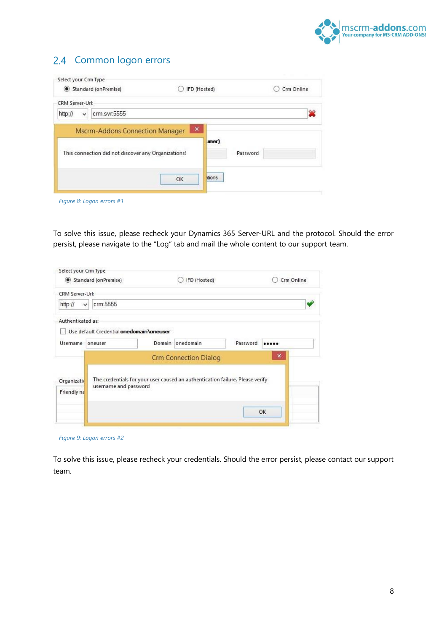

# <span id="page-7-0"></span>2.4 Common logon errors

| Standard (onPremise) |                                                                                               |    | IFD (Hosted)                        |          | Crm Online   |
|----------------------|-----------------------------------------------------------------------------------------------|----|-------------------------------------|----------|--------------|
| CRM Server-Url:      |                                                                                               |    |                                     |          |              |
| http://<br>v         | crm.svr:5555                                                                                  |    |                                     |          | $\mathbf{2}$ |
|                      | <b>Mscrm-Addons Connection Manager</b><br>This connection did not discover any Organizations! |    | $\pmb{\times}$<br>$_{\text{inner}}$ | Password |              |
|                      |                                                                                               | OK | ations                              |          |              |

*Figure 8: Logon errors #1*

To solve this issue, please recheck your Dynamics 365 Server-URL and the protocol. Should the error persist, please navigate to the "Log" tab and mail the whole content to our support team.

|                            | Standard (onPremise)                      | IFD (Hosted)                                                                  |          | Crm Online     |
|----------------------------|-------------------------------------------|-------------------------------------------------------------------------------|----------|----------------|
| CRM Server-Url:            |                                           |                                                                               |          |                |
| http://<br>v               | crm:5555                                  |                                                                               |          |                |
| Authenticated as:          | Use default Credential onedomain \oneuser |                                                                               |          |                |
| Username                   | oneuser                                   | Domain onedomain                                                              | Password |                |
|                            |                                           | <b>Crm Connection Dialog</b>                                                  |          | $\pmb{\times}$ |
| Organizatio<br>Friendly na | username and password                     | The credentials for your user caused an authentication failure. Please verify |          |                |
|                            |                                           |                                                                               |          | OK             |

*Figure 9: Logon errors #2*

To solve this issue, please recheck your credentials. Should the error persist, please contact our support team.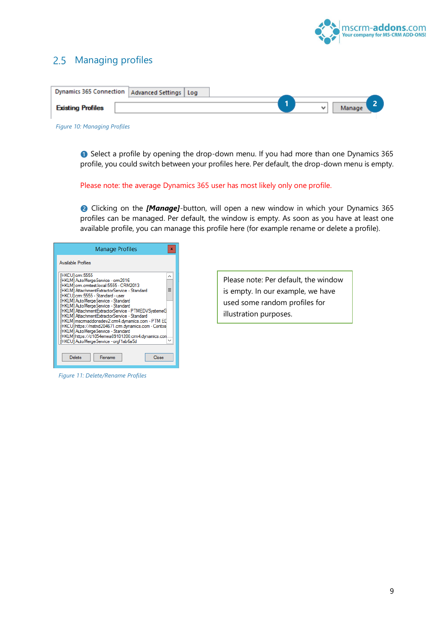

### <span id="page-8-0"></span>2.5 Managing profiles

| Dynamics 365 Connection   Advanced Settings   Log |  |  |              |        |  |
|---------------------------------------------------|--|--|--------------|--------|--|
| <b>Existing Profiles</b>                          |  |  | $\checkmark$ | Manage |  |
|                                                   |  |  |              |        |  |

*Figure 10: Managing Profiles* 

❶ Select a profile by opening the drop-down menu. If you had more than one Dynamics 365 profile, you could switch between your profiles here. Per default, the drop-down menu is empty.

#### Please note: the average Dynamics 365 user has most likely only one profile.

❷ Clicking on the *[Manage]*-button, will open a new window in which your Dynamics 365 profiles can be managed. Per default, the window is empty. As soon as you have at least one available profile, you can manage this profile here (for example rename or delete a profile).

| <b>Manage Profiles</b><br>×                                                                                                                                                                                                                                                                                                                                                                                                                                                                                                                                                                                                                       |
|---------------------------------------------------------------------------------------------------------------------------------------------------------------------------------------------------------------------------------------------------------------------------------------------------------------------------------------------------------------------------------------------------------------------------------------------------------------------------------------------------------------------------------------------------------------------------------------------------------------------------------------------------|
| <b>Available Profiles</b>                                                                                                                                                                                                                                                                                                                                                                                                                                                                                                                                                                                                                         |
| IHKCUI cm:5555<br>[HKLM] AutoMergeService - cm2016<br>[HKLM] cm.cmtest.local:5555 - CRM2013<br>Ξ<br>[HKLM] AttachmentExtractorService - Standard<br>[HKCU] cm: 5555 - Standard - user<br><b>IHKLMI AutoMergeService - Standard</b><br><b>IHKLMI AutoMergeService - Standard</b><br>[HKLM] AttachmentExtractorService - PTMEDVSystemeG<br><b>IHKLMI AttachmentExtractorService - Standard</b><br>[HKLM] mscmaddonsdev2.cm4.dynamics.com - PTM ED<br>[HKCU] https://mstnd204671.cm.dynamics.com - Contos<br><b>IHKLMI AutoMergeService - Standard</b><br>[HKLM] https://d1054emea09101200.cm4.dynamics.con<br>[HKCU] AutoMergeService - orgf1ab6a5d |
| Delete<br>Close<br>Rename                                                                                                                                                                                                                                                                                                                                                                                                                                                                                                                                                                                                                         |

*Figure 11: Delete/Rename Profiles* 

Please note: Per default, the window is empty. In our example, we have used some random profiles for illustration purposes.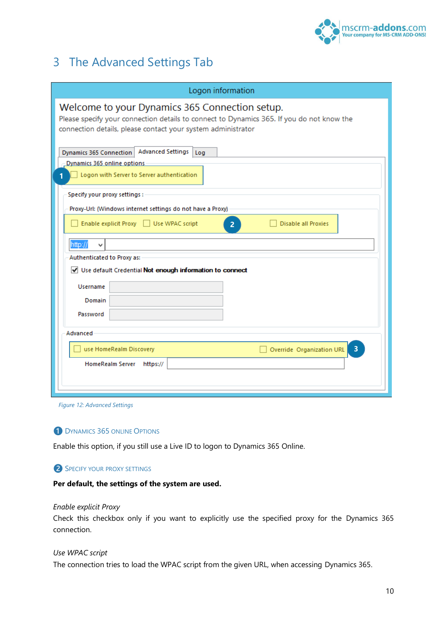

# <span id="page-9-0"></span>3 The Advanced Settings Tab

| Logon information                                                                                                                                                                                           |
|-------------------------------------------------------------------------------------------------------------------------------------------------------------------------------------------------------------|
| Welcome to your Dynamics 365 Connection setup.<br>Please specify your connection details to connect to Dynamics 365. If you do not know the<br>connection details, please contact your system administrator |
| Advanced Settings<br>Dynamics 365 Connection<br>Log<br>- Dynamics 365 online options<br>Logon with Server to Server authentication                                                                          |
| Specify your proxy settings:<br>Proxy-Url: (Windows internet settings do not have a Proxy)<br>Enable explicit Proxy   Use WPAC script<br><b>Disable all Proxies</b><br>2 <sup>1</sup>                       |
| http://<br>v<br>Authenticated to Proxy as:<br>V Use default Credential Not enough information to connect                                                                                                    |
| <b>Username</b><br>Domain<br>Password                                                                                                                                                                       |
| Advanced<br>$\overline{\mathbf{3}}$<br>use HomeRealm Discovery<br>Override Organization URL                                                                                                                 |
| <b>HomeRealm Server</b><br>https://                                                                                                                                                                         |

### **DYNAMICS 365 ONLINE OPTIONS**

Enable this option, if you still use a Live ID to logon to Dynamics 365 Online.

### **2** SPECIFY YOUR PROXY SETTINGS

#### **Per default, the settings of the system are used.**

#### *Enable explicit Proxy*

Check this checkbox only if you want to explicitly use the specified proxy for the Dynamics 365 connection.

#### *Use WPAC script*

The connection tries to load the WPAC script from the given URL, when accessing Dynamics 365.

*Figure 12: Advanced Settings*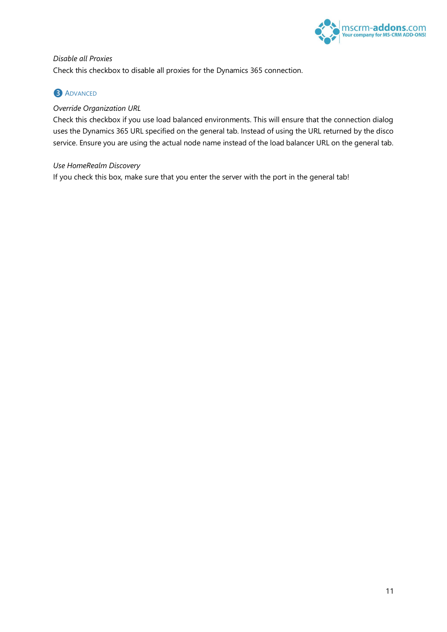

## *Disable all Proxies*  Check this checkbox to disable all proxies for the Dynamics 365 connection.

### **3** ADVANCED

### *Override Organization URL*

Check this checkbox if you use load balanced environments. This will ensure that the connection dialog uses the Dynamics 365 URL specified on the general tab. Instead of using the URL returned by the disco service. Ensure you are using the actual node name instead of the load balancer URL on the general tab.

### *Use HomeRealm Discovery*

If you check this box, make sure that you enter the server with the port in the general tab!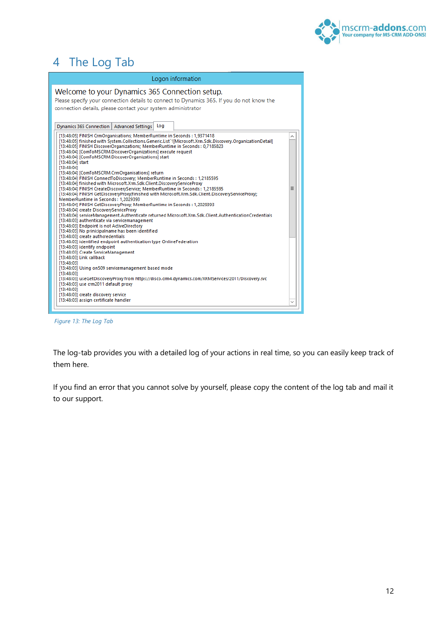

# <span id="page-11-0"></span>4 The Log Tab

| Logon information                                                                                                                                                                                                                                                                                                                                                                                                                                                                                                                                                                                                                                                                                                                                                                                                                                                                                                                                                                                                                                                                                                                                                                                                                                                                                                                                                                                                                                                                                                                                                                                                                                                                                                                                                    |   |
|----------------------------------------------------------------------------------------------------------------------------------------------------------------------------------------------------------------------------------------------------------------------------------------------------------------------------------------------------------------------------------------------------------------------------------------------------------------------------------------------------------------------------------------------------------------------------------------------------------------------------------------------------------------------------------------------------------------------------------------------------------------------------------------------------------------------------------------------------------------------------------------------------------------------------------------------------------------------------------------------------------------------------------------------------------------------------------------------------------------------------------------------------------------------------------------------------------------------------------------------------------------------------------------------------------------------------------------------------------------------------------------------------------------------------------------------------------------------------------------------------------------------------------------------------------------------------------------------------------------------------------------------------------------------------------------------------------------------------------------------------------------------|---|
| Welcome to your Dynamics 365 Connection setup.<br>Please specify your connection details to connect to Dynamics 365. If you do not know the<br>connection details, please contact your system administrator                                                                                                                                                                                                                                                                                                                                                                                                                                                                                                                                                                                                                                                                                                                                                                                                                                                                                                                                                                                                                                                                                                                                                                                                                                                                                                                                                                                                                                                                                                                                                          |   |
| Loa<br>Dynamics 365 Connection   Advanced Settings                                                                                                                                                                                                                                                                                                                                                                                                                                                                                                                                                                                                                                                                                                                                                                                                                                                                                                                                                                                                                                                                                                                                                                                                                                                                                                                                                                                                                                                                                                                                                                                                                                                                                                                   |   |
| [13:48:05] FINISH CrmOrganisations; MemberRuntime in Seconds: 1,9371418<br>[13:48:05] finished with System.Collections.Generic.List'1[Microsoft.Xrm.Sdk.Discovery.OrganizationDetail]<br>[13:48:05] FINISH DiscoverOrganizations: MemberRuntime in Seconds: 0,7185823<br>[13:48:04] [ComToMSCRM.DiscoverOrganizations] execute request<br>[13:48:04] [ComToMSCRM.DiscoverOrganizations] start<br>$[13:48:04]$ start<br>[13:48:04]<br>[13:48:04] [ComToMSCRM.CrmOrganisations] return<br>[13:48:04] FINISH ConnectToDiscovery; MemberRuntime in Seconds: 1,2185595<br>[13:48:04] finished with Microsoft.Xrm.Sdk.Client.DiscoveryServiceProxy<br>[13:48:04] FINISH CreateDiscoveryService: MemberRuntime in Seconds : 1.2185595<br>[13:48:04] FINISH GetDiscoveryProxy(finished with Microsoft.Xrm.Sdk.Client.DiscoveryServiceProxy);<br>MemberRuntime in Seconds: 1,2029393<br>[13:48:04] FINISH GetDiscoveryProxy; MemberRuntime in Seconds: 1,2029393<br>[13:48:04] create DiscoveryServiceProxy<br>[13:48:04] serviceManagement.Authenticate returned Microsoft.Xrm.Sdk.Client.AuthenticationCredentials<br>[13:48:03] authenticate via servicemanagement<br>[13:48:03] Endpoint is not ActiveDirectory<br>[13:48:03] No prinicipalname has been identified<br>[13:48:03] create authcredentials<br>[13:48:03] identified endpoint authentication type OnlineFederation<br>[13:48:03] identify endpoint<br>[13:48:03] Create ServiceManagement<br>[13:48:03] Link callback<br>[13:48:03]<br>[13:48:03] Using on509 servicemanagement based mode<br>[13:48:03]<br>[13:48:03] useGetDiscoveryProxy from https://disco.crm4.dynamics.com/XRMServices/2011/Discovery.svc<br>[13:48:03] use crm2011 default proxy<br>[13:48:03]<br>[13:48:03] create discovery service | Ξ |
| [13:48:03] assign certificate handler                                                                                                                                                                                                                                                                                                                                                                                                                                                                                                                                                                                                                                                                                                                                                                                                                                                                                                                                                                                                                                                                                                                                                                                                                                                                                                                                                                                                                                                                                                                                                                                                                                                                                                                                |   |
|                                                                                                                                                                                                                                                                                                                                                                                                                                                                                                                                                                                                                                                                                                                                                                                                                                                                                                                                                                                                                                                                                                                                                                                                                                                                                                                                                                                                                                                                                                                                                                                                                                                                                                                                                                      |   |

*Figure 13: The Log Tab* 

The log-tab provides you with a detailed log of your actions in real time, so you can easily keep track of them here.

If you find an error that you cannot solve by yourself, please copy the content of the log tab and mail it to our support.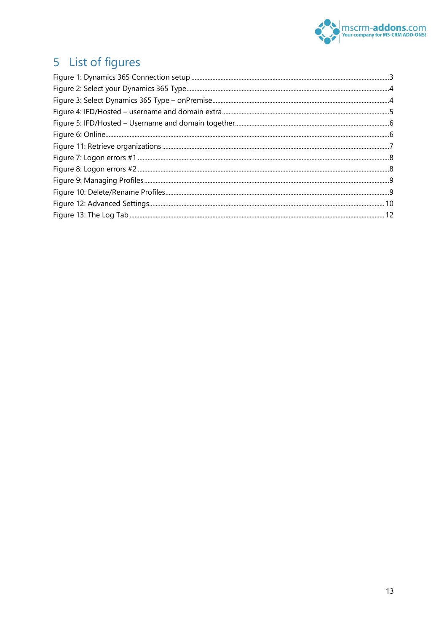

# <span id="page-12-0"></span>5 List of figures